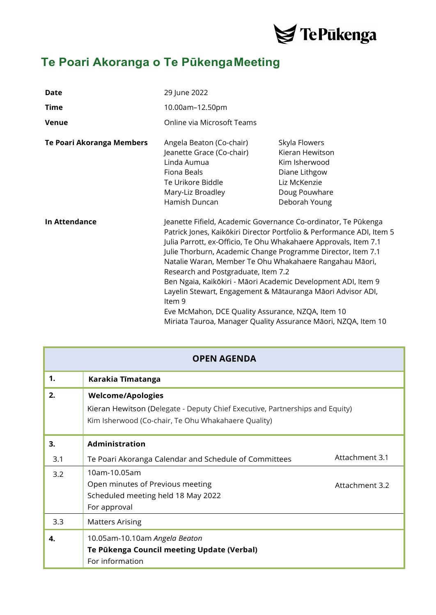

## **Te Poari Akoranga o Te PūkengaMeeting**

| <b>Date</b>               | 29 June 2022                                                                                                                                                                                                                                                                                                                                                                                                                                                                                                                                                                                                                                   |                                                                                                                      |
|---------------------------|------------------------------------------------------------------------------------------------------------------------------------------------------------------------------------------------------------------------------------------------------------------------------------------------------------------------------------------------------------------------------------------------------------------------------------------------------------------------------------------------------------------------------------------------------------------------------------------------------------------------------------------------|----------------------------------------------------------------------------------------------------------------------|
| Time                      | 10.00am-12.50pm                                                                                                                                                                                                                                                                                                                                                                                                                                                                                                                                                                                                                                |                                                                                                                      |
| <b>Venue</b>              | Online via Microsoft Teams                                                                                                                                                                                                                                                                                                                                                                                                                                                                                                                                                                                                                     |                                                                                                                      |
| Te Poari Akoranga Members | Angela Beaton (Co-chair)<br>Jeanette Grace (Co-chair)<br>Linda Aumua<br>Fiona Beals<br>Te Urikore Biddle<br>Mary-Liz Broadley<br>Hamish Duncan                                                                                                                                                                                                                                                                                                                                                                                                                                                                                                 | Skyla Flowers<br>Kieran Hewitson<br>Kim Isherwood<br>Diane Lithgow<br>Liz McKenzie<br>Doug Pouwhare<br>Deborah Young |
| <b>In Attendance</b>      | Jeanette Fifield, Academic Governance Co-ordinator, Te Pūkenga<br>Patrick Jones, Kaikōkiri Director Portfolio & Performance ADI, Item 5<br>Julia Parrott, ex-Officio, Te Ohu Whakahaere Approvals, Item 7.1<br>Julie Thorburn, Academic Change Programme Director, Item 7.1<br>Natalie Waran, Member Te Ohu Whakahaere Rangahau Māori,<br>Research and Postgraduate, Item 7.2<br>Ben Ngaia, Kaikōkiri - Māori Academic Development ADI, Item 9<br>Layelin Stewart, Engagement & Mātauranga Māori Advisor ADI,<br>Item 9<br>Eve McMahon, DCE Quality Assurance, NZQA, Item 10<br>Miriata Tauroa, Manager Quality Assurance Māori, NZQA, Item 10 |                                                                                                                      |

|     | <b>OPEN AGENDA</b>                                                                                                                                              |                |
|-----|-----------------------------------------------------------------------------------------------------------------------------------------------------------------|----------------|
| 1.  | Karakia Tīmatanga                                                                                                                                               |                |
| 2.  | <b>Welcome/Apologies</b><br>Kieran Hewitson (Delegate - Deputy Chief Executive, Partnerships and Equity)<br>Kim Isherwood (Co-chair, Te Ohu Whakahaere Quality) |                |
| 3.  | Administration                                                                                                                                                  |                |
| 3.1 | Te Poari Akoranga Calendar and Schedule of Committees                                                                                                           | Attachment 3.1 |
| 3.2 | 10am-10.05am<br>Open minutes of Previous meeting<br>Scheduled meeting held 18 May 2022<br>For approval                                                          | Attachment 3.2 |
| 3.3 | <b>Matters Arising</b>                                                                                                                                          |                |
| 4.  | 10.05am-10.10am Angela Beaton<br>Te Pūkenga Council meeting Update (Verbal)<br>For information                                                                  |                |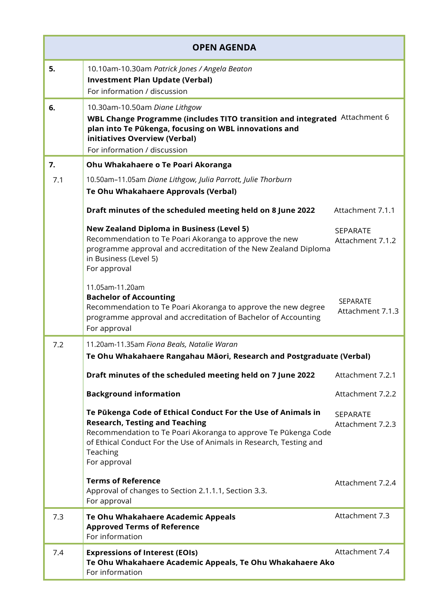| <b>OPEN AGENDA</b> |                                                                                                                                                                                                                                                                           |                                     |
|--------------------|---------------------------------------------------------------------------------------------------------------------------------------------------------------------------------------------------------------------------------------------------------------------------|-------------------------------------|
| 5.                 | 10.10am-10.30am Patrick Jones / Angela Beaton<br><b>Investment Plan Update (Verbal)</b><br>For information / discussion                                                                                                                                                   |                                     |
| 6.                 | 10.30am-10.50am Diane Lithgow<br>WBL Change Programme (includes TITO transition and integrated Attachment 6<br>plan into Te Pūkenga, focusing on WBL innovations and<br>initiatives Overview (Verbal)<br>For information / discussion                                     |                                     |
| 7.                 | Ohu Whakahaere o Te Poari Akoranga                                                                                                                                                                                                                                        |                                     |
| 7.1                | 10.50am-11.05am Diane Lithgow, Julia Parrott, Julie Thorburn                                                                                                                                                                                                              |                                     |
|                    | Te Ohu Whakahaere Approvals (Verbal)                                                                                                                                                                                                                                      |                                     |
|                    | Draft minutes of the scheduled meeting held on 8 June 2022                                                                                                                                                                                                                | Attachment 7.1.1                    |
|                    | <b>New Zealand Diploma in Business (Level 5)</b><br>Recommendation to Te Poari Akoranga to approve the new<br>programme approval and accreditation of the New Zealand Diploma<br>in Business (Level 5)<br>For approval                                                    | <b>SEPARATE</b><br>Attachment 7.1.2 |
|                    | 11.05am-11.20am<br><b>Bachelor of Accounting</b><br>Recommendation to Te Poari Akoranga to approve the new degree<br>programme approval and accreditation of Bachelor of Accounting<br>For approval                                                                       | <b>SEPARATE</b><br>Attachment 7.1.3 |
| 7.2                | 11.20am-11.35am Fiona Beals, Natalie Waran<br>Te Ohu Whakahaere Rangahau Māori, Research and Postgraduate (Verbal)                                                                                                                                                        |                                     |
|                    | Draft minutes of the scheduled meeting held on 7 June 2022                                                                                                                                                                                                                | Attachment 7.2.1                    |
|                    | <b>Background information</b>                                                                                                                                                                                                                                             | Attachment 7.2.2                    |
|                    | Te Pükenga Code of Ethical Conduct For the Use of Animals in<br><b>Research, Testing and Teaching</b><br>Recommendation to Te Poari Akoranga to approve Te Pūkenga Code<br>of Ethical Conduct For the Use of Animals in Research, Testing and<br>Teaching<br>For approval | SEPARATE<br>Attachment 7.2.3        |
|                    | <b>Terms of Reference</b><br>Approval of changes to Section 2.1.1.1, Section 3.3.<br>For approval                                                                                                                                                                         | Attachment 7.2.4                    |
| 7.3                | Te Ohu Whakahaere Academic Appeals<br><b>Approved Terms of Reference</b><br>For information                                                                                                                                                                               | Attachment 7.3                      |
| 7.4                | <b>Expressions of Interest (EOIs)</b><br>Te Ohu Whakahaere Academic Appeals, Te Ohu Whakahaere Ako<br>For information                                                                                                                                                     | Attachment 7.4                      |